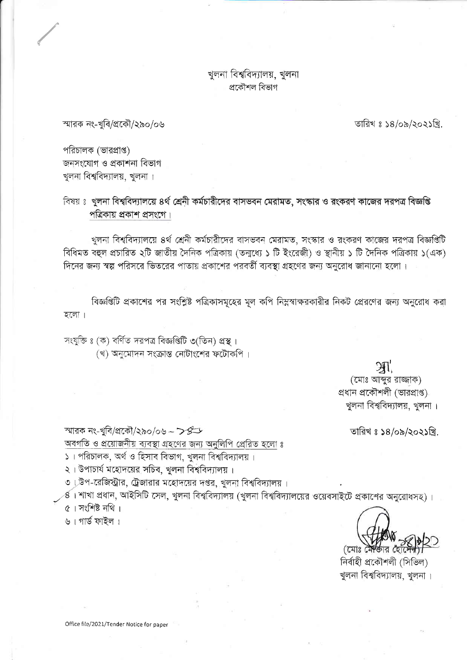খুলনা বিশ্ববিদ্যালয়, খুলনা প্ৰকৌশল বিভাগ

স্মারক নং-খুবি/প্রকৌ/২৯০/০৬

তারিখ ঃ ১৪/০৯/২০২১খ্রি.

পরিচালক (ভারপ্রাপ্ত) জনসংযোগ ও প্ৰকাশনা বিভাগ খুলনা বিশ্ববিদ্যালয়, খুলনা।

বিষয় ঃ খুলনা বিশ্ববিদ্যালয়ে ৪র্থ শ্রেনী কর্মচারীদের বাসভবন মেরামত, সংস্কার ও রংকরণ কাজের দরপত্র বিজ্ঞপ্তি পত্রিকায় প্রকাশ প্রসংগে।

খুলনা বিশ্ববিদ্যালয়ে ৪র্থ শ্রেনী কর্মচারীদের বাসভবন মেরামত, সংস্কার ও রংকরণ কাজের দরপত্র বিজ্ঞপ্তিটি বিধিমত বহুল প্রচারিত ২টি জাতীয় দৈনিক পত্রিকায় (তন্মধ্যে ১ টি ইংরেজী) ও স্থানীয় ১ টি দৈনিক পত্রিকায় ১(এক) দিনের জন্য স্বল্প পরিসরে ভিতরের পাতায় প্রকাশের পরবর্তী ব্যবস্থা গ্রহণের জন্য অনুরোধ জানানো হলো।

বিজ্ঞপ্তিটি প্রকাশের পর সংশ্লিষ্ট পত্রিকাসমূহের মূল কপি নিম্নস্বাক্ষরকারীর নিকট প্রেরণের জন্য অনুরোধ করা হলো।

সংযুক্তি ঃ (ক) বৰ্ণিত দরপত্র বিজ্ঞপ্তিটি ৩(তিন) প্রস্থ। (খ) অনুমোদন সংক্রান্ত নোটাংশের ফটোকপি।

 $\mathfrak{M}$ 

(মোঃ আব্দুর রাজ্জাক) প্ৰধান প্ৰকৌশলী (ভারপ্রাপ্ত) খুলনা বিশ্ববিদ্যালয়, খুলনা।

তারিখ ঃ ১৪/০৯/২০২১খ্রি.

স্মারক নং-খুবি/প্রকৌ/২৯০/০৬ – ���

অবগতি ও প্রয়োজনীয় ব্যবস্থা গ্রহণের জন্য অনুলিপি প্রেরিত হলো ঃ

১। পরিচালক, অর্থ ও হিসাব বিভাগ, খুলনা বিশ্ববিদ্যালয়।

২। উপাচার্য মহোদয়ের সচিব, খুলনা বিশ্ববিদ্যালয়।

৩। উপ-রেজিস্ট্রার, ট্রেজারার মহোদয়ের দপ্তর, খুলনা বিশ্ববিদ্যালয়।

প্ত। শাখা প্রধান, আইসিটি সেল, খুলনা বিশ্ববিদ্যালয় (খুলনা বিশ্ববিদ্যালয়ের ওয়েবসাইটে প্রকাশের অনুরোধসহ)।

৫। সংশিষ্ট নথি।

৬। গার্ড ফাইল।

(মোঃ মেল্কার

নিৰ্বাহী প্ৰকৌশলী (সিভিল) খুলনা বিশ্ববিদ্যালয়, খুলনা ।